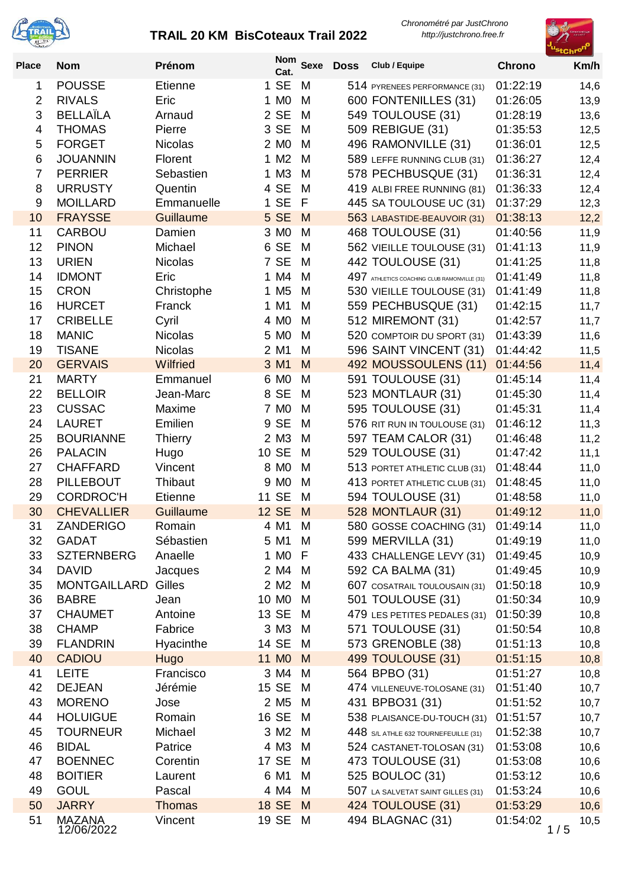



| <b>Place</b>   | <b>Nom</b>                  | Prénom                   | Nom<br>Cat.       |        | Sexe Doss | Club / Equipe                               | <b>Chrono</b>        | Km/h         |
|----------------|-----------------------------|--------------------------|-------------------|--------|-----------|---------------------------------------------|----------------------|--------------|
| 1              | <b>POUSSE</b>               | <b>Etienne</b>           | 1 SE              | M      |           | 514 PYRENEES PERFORMANCE (31)               | 01:22:19             | 14,6         |
| $\overline{2}$ | <b>RIVALS</b>               | Eric                     | 1 M <sub>0</sub>  | M      |           | 600 FONTENILLES (31)                        | 01:26:05             | 13,9         |
| 3              | <b>BELLAÏLA</b>             | Arnaud                   | 2 SE              | M      |           | 549 TOULOUSE (31)                           | 01:28:19             | 13,6         |
| $\overline{4}$ | <b>THOMAS</b>               | Pierre                   | 3 SE              | M      |           | 509 REBIGUE (31)                            | 01:35:53             | 12,5         |
| 5              | <b>FORGET</b>               | Nicolas                  | 2 M <sub>0</sub>  | M      |           | 496 RAMONVILLE (31)                         | 01:36:01             | 12,5         |
| 6              | <b>JOUANNIN</b>             | Florent                  | 1 M2              | M      |           | 589 LEFFE RUNNING CLUB (31)                 | 01:36:27             | 12,4         |
| $\overline{7}$ | <b>PERRIER</b>              | Sebastien                | 1 M3              | M      |           | 578 PECHBUSQUE (31)                         | 01:36:31             | 12,4         |
| 8              | <b>URRUSTY</b>              | Quentin                  | 4 SE              | M      |           | 419 ALBI FREE RUNNING (81)                  | 01:36:33             | 12,4         |
| 9              | <b>MOILLARD</b>             | Emmanuelle               | 1 SE              | F      |           | 445 SA TOULOUSE UC (31)                     | 01:37:29             | 12,3         |
| 10             | <b>FRAYSSE</b>              | Guillaume                | 5 SE              | M      |           | 563 LABASTIDE-BEAUVOIR (31)                 | 01:38:13             | 12,2         |
| 11             | <b>CARBOU</b>               | Damien                   | 3 MO              | M      |           | 468 TOULOUSE (31)                           | 01:40:56             | 11,9         |
| 12             | <b>PINON</b>                | Michael                  | 6 SE              | M      |           | 562 VIEILLE TOULOUSE (31)                   | 01:41:13             | 11,9         |
| 13             | <b>URIEN</b>                | <b>Nicolas</b>           | 7 SE              | M      |           | 442 TOULOUSE (31)                           | 01:41:25             | 11,8         |
| 14             | <b>IDMONT</b>               | Eric                     | 1 M4              | M      |           | 497 ATHLETICS COACHING CLUB RAMONVILLE (31) | 01:41:49             | 11,8         |
| 15             | <b>CRON</b>                 | Christophe               | 1 M <sub>5</sub>  | M      |           | 530 VIEILLE TOULOUSE (31)                   | 01:41:49             | 11,8         |
| 16             | <b>HURCET</b>               | Franck                   | 1 M1              | M      |           | 559 PECHBUSQUE (31)                         | 01:42:15             | 11,7         |
| 17             | <b>CRIBELLE</b>             | Cyril                    | 4 M <sub>0</sub>  | M      |           | 512 MIREMONT (31)                           | 01:42:57             | 11,7         |
| 18             | <b>MANIC</b>                | <b>Nicolas</b>           | 5 M <sub>0</sub>  | M      |           | 520 COMPTOIR DU SPORT (31)                  | 01:43:39             | 11,6         |
| 19             | <b>TISANE</b>               | <b>Nicolas</b>           | 2 M1              | M      |           | 596 SAINT VINCENT (31)                      | 01:44:42             | 11,5         |
| 20             | <b>GERVAIS</b>              | Wilfried                 | 3 M1              | M      |           | 492 MOUSSOULENS (11)                        | 01:44:56             | 11,4         |
| 21             | <b>MARTY</b>                | Emmanuel                 | 6 M <sub>0</sub>  | M      |           | 591 TOULOUSE (31)                           | 01:45:14             | 11,4         |
| 22             | <b>BELLOIR</b>              | Jean-Marc                | 8 SE              | M      |           | 523 MONTLAUR (31)                           | 01:45:30             | 11,4         |
| 23             | <b>CUSSAC</b>               | Maxime                   | 7 M <sub>0</sub>  | M      |           | 595 TOULOUSE (31)                           | 01:45:31             | 11,4         |
| 24             | <b>LAURET</b>               | Emilien                  | 9 SE              | M      |           | 576 RIT RUN IN TOULOUSE (31)                | 01:46:12             | 11,3         |
| 25             | <b>BOURIANNE</b>            | <b>Thierry</b>           | 2 M3              | M      |           | 597 TEAM CALOR (31)                         | 01:46:48             | 11,2         |
| 26             | <b>PALACIN</b>              | Hugo                     | 10 SE             | M      |           | 529 TOULOUSE (31)                           | 01:47:42             | 11,1         |
| 27             | <b>CHAFFARD</b>             | Vincent                  | 8 M <sub>0</sub>  | M      |           | 513 PORTET ATHLETIC CLUB (31)               | 01:48:44             | 11,0         |
| 28             | <b>PILLEBOUT</b>            | Thibaut                  | 9 M <sub>0</sub>  | M      |           | 413 PORTET ATHLETIC CLUB (31)               | 01:48:45             | 11,0         |
| 29             | <b>CORDROC'H</b>            | <b>Etienne</b>           | 11 SE             | M      |           | 594 TOULOUSE (31)                           | 01:48:58             | 11,0         |
| 30             | <b>CHEVALLIER</b>           | Guillaume                | <b>12 SE</b>      | M      |           | 528 MONTLAUR (31)                           | 01:49:12             | 11,0         |
| 31             | <b>ZANDERIGO</b>            | Romain                   | 4 M1              | M      |           | 580 GOSSE COACHING (31)                     | 01:49:14             | 11,0         |
| 32             | <b>GADAT</b>                | Sébastien                | 5 M1 M            |        |           | 599 MERVILLA (31)                           | 01:49:19             | 11,0         |
| 33             | <b>SZTERNBERG</b>           | Anaelle                  | 1 MO F            |        |           | 433 CHALLENGE LEVY (31)                     | 01:49:45             | 10,9         |
| 34             | <b>DAVID</b>                | Jacques                  | 2 M4              | M      |           | 592 CA BALMA (31)                           | 01:49:45             | 10,9         |
| 35             | <b>MONTGAILLARD</b>         | Gilles                   | 2 M <sub>2</sub>  | M      |           | 607 COSATRAIL TOULOUSAIN (31)               | 01:50:18             | 10,9         |
| 36             | <b>BABRE</b>                | Jean                     | 10 M <sub>0</sub> | M      |           | 501 TOULOUSE (31)                           | 01:50:34             | 10,9         |
| 37             | <b>CHAUMET</b>              | Antoine                  | 13 SE             | M      |           | 479 LES PETITES PEDALES (31)                | 01:50:39             | 10,8         |
| 38             | <b>CHAMP</b>                | Fabrice                  | 3 M3 M            |        |           | 571 TOULOUSE (31)                           | 01:50:54             | 10,8         |
| 39             | <b>FLANDRIN</b>             | Hyacinthe                | 14 SE             | M      |           | 573 GRENOBLE (38)                           | 01:51:13             | 10,8         |
| 40             | <b>CADIOU</b>               | Hugo                     | 11 M <sub>0</sub> | M      |           | 499 TOULOUSE (31)                           | 01:51:15             | 10,8         |
| 41             | <b>LEITE</b>                | Francisco                | 3 M4              | М      |           | 564 BPBO (31)                               | 01:51:27             | 10,8         |
| 42             | <b>DEJEAN</b>               | Jérémie                  | 15 SE             | M      |           | 474 VILLENEUVE-TOLOSANE (31)                | 01:51:40             | 10,7         |
| 43             | <b>MORENO</b>               | Jose                     | 2 M <sub>5</sub>  | M      |           | 431 BPBO31 (31)                             | 01:51:52             | 10,7         |
| 44             | <b>HOLUIGUE</b>             | Romain                   | 16 SE             | М      |           | 538 PLAISANCE-DU-TOUCH (31)                 | 01:51:57             | 10,7         |
| 45             | <b>TOURNEUR</b>             | Michael                  | 3 M2              | M      |           | 448 S/L ATHLE 632 TOURNEFEUILLE (31)        | 01:52:38             | 10,7         |
| 46             | <b>BIDAL</b>                | Patrice                  | 4 M3              | M      |           | 524 CASTANET-TOLOSAN (31)                   | 01:53:08             | 10,6         |
| 47             | <b>BOENNEC</b>              | Corentin                 | 17 SE             | М      |           | 473 TOULOUSE (31)                           | 01:53:08             | 10,6         |
| 48             | <b>BOITIER</b>              | Laurent                  | 6 M1              | M      |           | 525 BOULOC (31)                             | 01:53:12             | 10,6         |
| 49<br>50       | <b>GOUL</b><br><b>JARRY</b> | Pascal                   | 4 M4<br>18 SE     | M<br>M |           | 507 LA SALVETAT SAINT GILLES (31)           | 01:53:24             | 10,6         |
| 51             | <b>MAZANA</b>               | <b>Thomas</b><br>Vincent | 19 SE M           |        |           | 424 TOULOUSE (31)<br>494 BLAGNAC (31)       | 01:53:29<br>01:54:02 | 10,6<br>10,5 |
|                | 12/06/2022                  |                          |                   |        |           |                                             | 1/5                  |              |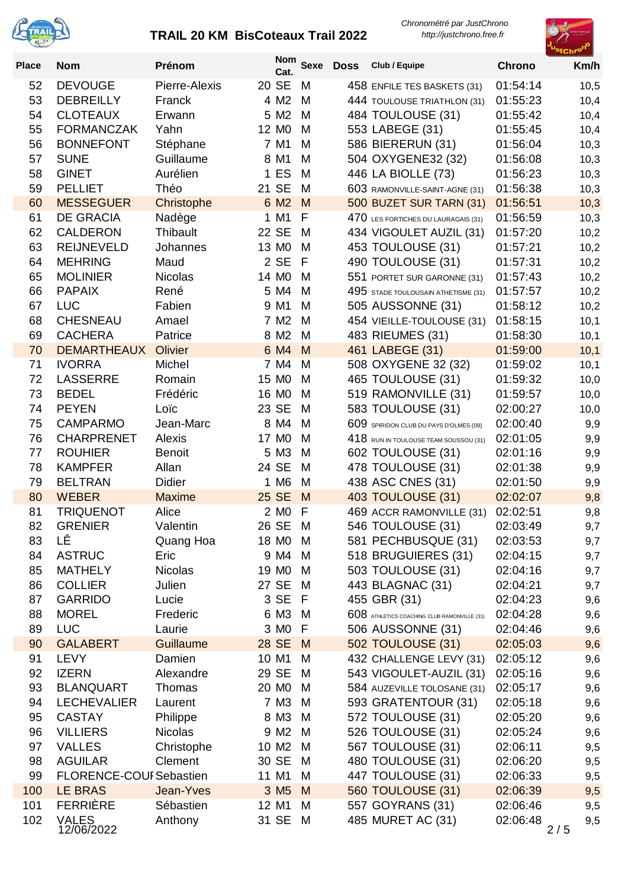



| <b>Place</b> | <b>Nom</b>                       | Prénom             | <b>Nom</b><br>Cat.                     | <b>Sexe</b> | <b>Doss</b> | Club / Equipe                               | <b>Chrono</b>        | Km/h       |
|--------------|----------------------------------|--------------------|----------------------------------------|-------------|-------------|---------------------------------------------|----------------------|------------|
| 52           | <b>DEVOUGE</b>                   | Pierre-Alexis      | 20 SE                                  | M           |             | 458 ENFILE TES BASKETS (31)                 | 01:54:14             | 10,5       |
| 53           | <b>DEBREILLY</b>                 | Franck             | 4 M2                                   | M           |             | 444 TOULOUSE TRIATHLON (31)                 | 01:55:23             | 10,4       |
| 54           | <b>CLOTEAUX</b>                  | Erwann             | 5 M2                                   | M           |             | 484 TOULOUSE (31)                           | 01:55:42             | 10,4       |
| 55           | <b>FORMANCZAK</b>                | Yahn               | 12 M <sub>0</sub>                      | M           |             | 553 LABEGE (31)                             | 01:55:45             | 10,4       |
| 56           | <b>BONNEFONT</b>                 | Stéphane           | 7 M1                                   | M           |             | 586 BIERERUN (31)                           | 01:56:04             | 10,3       |
| 57           | <b>SUNE</b>                      | Guillaume          | 8 M1                                   | M           |             | 504 OXYGENE32 (32)                          | 01:56:08             | 10,3       |
| 58           | <b>GINET</b>                     | Aurélien           | 1 ES                                   | M           |             | 446 LA BIOLLE (73)                          | 01:56:23             | 10,3       |
| 59           | <b>PELLIET</b>                   | Théo               | 21 SE                                  | M           |             | 603 RAMONVILLE-SAINT-AGNE (31)              | 01:56:38             | 10,3       |
| 60           | <b>MESSEGUER</b>                 | Christophe         | 6 M <sub>2</sub>                       | M           |             | 500 BUZET SUR TARN (31)                     | 01:56:51             | 10,3       |
| 61           | <b>DE GRACIA</b>                 | Nadège             | 1 M1                                   | F           |             | 470 LES FORTICHES DU LAURAGAIS (31)         | 01:56:59             | 10,3       |
| 62           | <b>CALDERON</b>                  | Thibault           | 22 SE                                  | M           |             | 434 VIGOULET AUZIL (31)                     | 01:57:20             | 10,2       |
| 63           | <b>REIJNEVELD</b>                | Johannes           | 13 M <sub>0</sub>                      | M           |             | 453 TOULOUSE (31)                           | 01:57:21             | 10,2       |
| 64           | <b>MEHRING</b>                   | Maud               | 2 SE                                   | F           |             | 490 TOULOUSE (31)                           | 01:57:31             | 10,2       |
| 65           | <b>MOLINIER</b>                  | <b>Nicolas</b>     | 14 M <sub>0</sub>                      | M           |             | 551 PORTET SUR GARONNE (31)                 | 01:57:43             | 10,2       |
| 66           | <b>PAPAIX</b>                    | René               | 5 M4                                   | м           |             | 495 STADE TOULOUSAIN ATHETISME (31)         | 01:57:57             | 10,2       |
| 67           | <b>LUC</b>                       | Fabien             | 9 M1                                   | M           |             | 505 AUSSONNE (31)                           | 01:58:12             | 10,2       |
| 68           | <b>CHESNEAU</b>                  | Amael              | 7 M <sub>2</sub>                       | M           |             | 454 VIEILLE-TOULOUSE (31)                   | 01:58:15             | 10,1       |
| 69           | <b>CACHERA</b>                   | Patrice            | 8 M <sub>2</sub>                       | M           |             | 483 RIEUMES (31)                            | 01:58:30             | 10,1       |
| 70           | <b>DEMARTHEAUX</b>               | Olivier            | 6 M4                                   | M           |             | 461 LABEGE (31)                             | 01:59:00             | 10,1       |
| 71           | <b>IVORRA</b><br><b>LASSERRE</b> | Michel             | 7 M4                                   | M           |             | 508 OXYGENE 32 (32)                         | 01:59:02             | 10,1       |
| 72<br>73     | <b>BEDEL</b>                     | Romain<br>Frédéric | 15 M <sub>0</sub><br>16 M <sub>0</sub> | м<br>M      |             | 465 TOULOUSE (31)<br>519 RAMONVILLE (31)    | 01:59:32<br>01:59:57 | 10,0       |
| 74           | <b>PEYEN</b>                     | Loïc               | 23 SE                                  | M           |             | 583 TOULOUSE (31)                           | 02:00:27             | 10,0       |
| 75           | <b>CAMPARMO</b>                  | Jean-Marc          | 8 M4                                   | M           |             | 609 SPIRIDON CLUB DU PAYS D'OLMES (09)      | 02:00:40             | 10,0       |
| 76           | <b>CHARPRENET</b>                | Alexis             | 17 M <sub>0</sub>                      | M           |             | $418$ RUN IN TOULOUSE TEAM SOUSSOU (31)     | 02:01:05             | 9,9<br>9,9 |
| 77           | <b>ROUHIER</b>                   | <b>Benoit</b>      | 5 M3                                   | M           |             | 602 TOULOUSE (31)                           | 02:01:16             | 9,9        |
| 78           | <b>KAMPFER</b>                   | Allan              | 24 SE                                  | M           |             | 478 TOULOUSE (31)                           | 02:01:38             | 9,9        |
| 79           | <b>BELTRAN</b>                   | Didier             | 1 M6                                   | M           |             | 438 ASC CNES (31)                           | 02:01:50             | 9,9        |
| 80           | <b>WEBER</b>                     | <b>Maxime</b>      | 25 SE                                  | M           |             | 403 TOULOUSE (31)                           | 02:02:07             | 9,8        |
| 81           | <b>TRIQUENOT</b>                 | Alice              | 2 M <sub>0</sub>                       | F           |             | 469 ACCR RAMONVILLE (31)                    | 02:02:51             | 9,8        |
| 82           | <b>GRENIER</b>                   | Valentin           | 26 SE                                  | M           |             | 546 TOULOUSE (31)                           | 02:03:49             | 9,7        |
| 83           | LÊ                               | Quang Hoa          | 18 M <sub>0</sub> M                    |             |             | 581 PECHBUSQUE (31)                         | 02:03:53             | 9,7        |
| 84           | <b>ASTRUC</b>                    | Eric               | 9 M4                                   | M           |             | 518 BRUGUIERES (31)                         | 02:04:15             | 9,7        |
| 85           | <b>MATHELY</b>                   | <b>Nicolas</b>     | 19 M <sub>0</sub>                      | M           |             | 503 TOULOUSE (31)                           | 02:04:16             | 9,7        |
| 86           | <b>COLLIER</b>                   | Julien             | 27 SE                                  | M           |             | 443 BLAGNAC (31)                            | 02:04:21             | 9,7        |
| 87           | <b>GARRIDO</b>                   | Lucie              | 3 SE                                   | -F          |             | 455 GBR (31)                                | 02:04:23             | 9,6        |
| 88           | <b>MOREL</b>                     | Frederic           | 6 M3                                   | M           |             | 608 ATHLETICS COACHING CLUB RAMONVILLE (31) | 02:04:28             | 9,6        |
| 89           | <b>LUC</b>                       | Laurie             | 3 MO                                   | F           |             | 506 AUSSONNE (31)                           | 02:04:46             | 9,6        |
| 90           | <b>GALABERT</b>                  | Guillaume          | 28 SE                                  | M           |             | 502 TOULOUSE (31)                           | 02:05:03             | 9,6        |
| 91           | <b>LEVY</b>                      | Damien             | 10 M1                                  | M           |             | 432 CHALLENGE LEVY (31)                     | 02:05:12             | 9,6        |
| 92           | <b>IZERN</b>                     | Alexandre          | 29 SE                                  | M           |             | 543 VIGOULET-AUZIL (31)                     | 02:05:16             | 9,6        |
| 93           | <b>BLANQUART</b>                 | Thomas             | 20 M <sub>0</sub>                      | M           |             | 584 AUZEVILLE TOLOSANE (31)                 | 02:05:17             | 9,6        |
| 94           | <b>LECHEVALIER</b>               | Laurent            | 7 M3                                   | M           |             | 593 GRATENTOUR (31)                         | 02:05:18             | 9,6        |
| 95           | <b>CASTAY</b>                    | Philippe           | 8 M3                                   | M           |             | 572 TOULOUSE (31)                           | 02:05:20             | 9,6        |
| 96           | <b>VILLIERS</b>                  | <b>Nicolas</b>     | 9 M <sub>2</sub>                       | M           |             | 526 TOULOUSE (31)                           | 02:05:24             | 9,6        |
| 97           | <b>VALLES</b>                    | Christophe         | 10 M <sub>2</sub>                      | M           |             | 567 TOULOUSE (31)                           | 02:06:11             | 9,5        |
| 98           | <b>AGUILAR</b>                   | Clement            | 30 SE                                  | M           |             | 480 TOULOUSE (31)                           | 02:06:20             | 9,5        |
| 99           | <b>FLORENCE-COUI Sebastien</b>   |                    | 11 M1                                  | M           |             | 447 TOULOUSE (31)                           | 02:06:33             | 9,5        |
| 100          | <b>LE BRAS</b>                   | Jean-Yves          | 3 M <sub>5</sub>                       | M           |             | <b>560 TOULOUSE (31)</b>                    | 02:06:39             | 9,5        |
| 101          | <b>FERRIÈRE</b>                  | Sébastien          | 12 M1                                  | M           |             | 557 GOYRANS (31)                            | 02:06:46             | 9,5        |
| 102          | <b>VALES</b><br>12/06/2022       | Anthony            | 31 SE                                  | M           |             | 485 MURET AC (31)                           | 02:06:48<br>2/5      | 9,5        |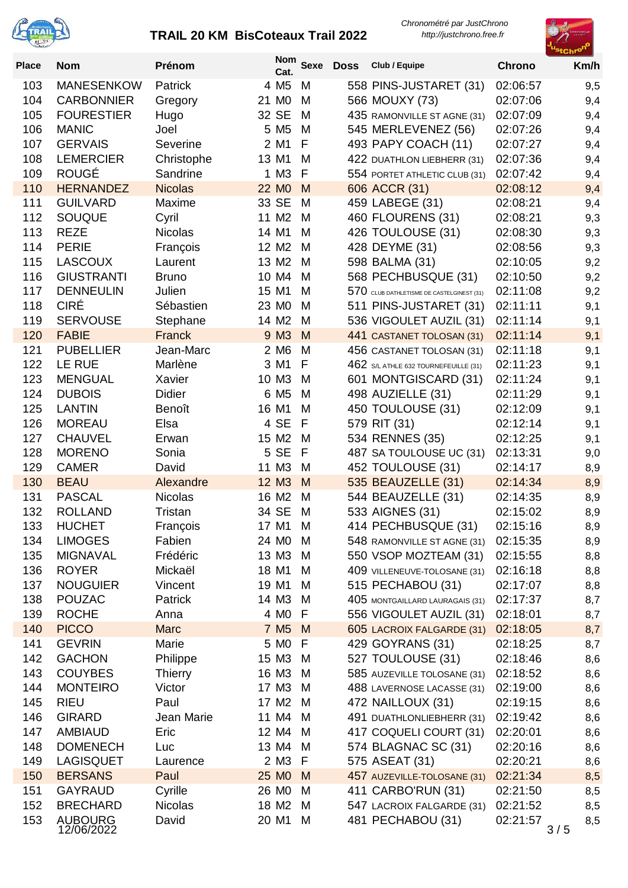



| <b>Place</b> | <b>Nom</b>                         | Prénom            | <b>Nom</b><br>Cat.       | <b>Sexe</b> | <b>Doss</b> | Club / Equipe                                 | <b>Chrono</b>        | Km/h       |
|--------------|------------------------------------|-------------------|--------------------------|-------------|-------------|-----------------------------------------------|----------------------|------------|
| 103          | <b>MANESENKOW</b>                  | Patrick           | 4 M <sub>5</sub>         | M           |             | 558 PINS-JUSTARET (31)                        | 02:06:57             | 9,5        |
| 104          | <b>CARBONNIER</b>                  | Gregory           | 21 M <sub>0</sub>        | M           |             | 566 MOUXY (73)                                | 02:07:06             | 9,4        |
| 105          | <b>FOURESTIER</b>                  | Hugo              | 32 SE                    | M           |             | 435 RAMONVILLE ST AGNE (31)                   | 02:07:09             | 9,4        |
| 106          | <b>MANIC</b>                       | Joel              | 5 M <sub>5</sub>         | M           |             | 545 MERLEVENEZ (56)                           | 02:07:26             | 9,4        |
| 107          | <b>GERVAIS</b>                     | Severine          | 2 M1                     | F           |             | 493 PAPY COACH (11)                           | 02:07:27             | 9,4        |
| 108          | <b>LEMERCIER</b>                   | Christophe        | 13 M1                    | M           |             | 422 DUATHLON LIEBHERR (31)                    | 02:07:36             | 9,4        |
| 109          | <b>ROUGÉ</b>                       | Sandrine          | $1$ M <sub>3</sub>       | F           |             | 554 PORTET ATHLETIC CLUB (31)                 | 02:07:42             | 9,4        |
| 110          | <b>HERNANDEZ</b>                   | <b>Nicolas</b>    | 22 M <sub>0</sub>        | M           |             | 606 ACCR (31)                                 | 02:08:12             | 9,4        |
| 111          | <b>GUILVARD</b>                    | Maxime            | 33 SE                    | M           |             | 459 LABEGE (31)                               | 02:08:21             | 9,4        |
| 112          | <b>SOUQUE</b>                      | Cyril             | 11 M2                    | M           |             | 460 FLOURENS (31)                             | 02:08:21             | 9,3        |
| 113          | <b>REZE</b>                        | <b>Nicolas</b>    | 14 M1                    | M           |             | 426 TOULOUSE (31)                             | 02:08:30             | 9,3        |
| 114          | <b>PERIE</b>                       | François          | 12 M <sub>2</sub>        | M           |             | 428 DEYME (31)                                | 02:08:56             | 9,3        |
| 115          | <b>LASCOUX</b>                     | Laurent           | 13 M <sub>2</sub>        | M           |             | 598 BALMA (31)                                | 02:10:05             | 9,2        |
| 116          | <b>GIUSTRANTI</b>                  | <b>Bruno</b>      | 10 M4                    | M           |             | 568 PECHBUSQUE (31)                           | 02:10:50             | 9,2        |
| 117          | <b>DENNEULIN</b>                   | Julien            | 15 M1                    | м           |             | 570 CLUB DATHLETISME DE CASTELGINEST (31)     | 02:11:08             | 9,2        |
| 118          | <b>CIRÉ</b>                        | Sébastien         | 23 M <sub>0</sub>        | м           |             | 511 PINS-JUSTARET (31)                        | 02:11:11             | 9,1        |
| 119          | <b>SERVOUSE</b>                    | Stephane          | 14 M <sub>2</sub>        | M           |             | 536 VIGOULET AUZIL (31)                       | 02:11:14             | 9,1        |
| 120          | <b>FABIE</b>                       | Franck            | 9 M3                     | M           |             | 441 CASTANET TOLOSAN (31)                     | 02:11:14             | 9,1        |
| 121<br>122   | <b>PUBELLIER</b><br>LE RUE         | Jean-Marc         | 2 M <sub>6</sub><br>3 M1 | M<br>F      |             | 456 CASTANET TOLOSAN (31)                     | 02:11:18             | 9,1        |
| 123          | <b>MENGUAL</b>                     | Marlène<br>Xavier | 10 M3                    | M           |             | 462 S/L ATHLE 632 TOURNEFEUILLE (31)          | 02:11:23<br>02:11:24 | 9,1        |
| 124          | <b>DUBOIS</b>                      | <b>Didier</b>     | 6 M <sub>5</sub>         | M           |             | 601 MONTGISCARD (31)<br>498 AUZIELLE (31)     | 02:11:29             | 9,1        |
| 125          | <b>LANTIN</b>                      | Benoît            | 16 M1                    | M           |             | 450 TOULOUSE (31)                             | 02:12:09             | 9,1<br>9,1 |
| 126          | <b>MOREAU</b>                      | Elsa              | 4 SE                     | F           |             | 579 RIT (31)                                  | 02:12:14             | 9,1        |
| 127          | <b>CHAUVEL</b>                     | Erwan             | 15 M2                    | M           |             | 534 RENNES (35)                               | 02:12:25             | 9,1        |
| 128          | <b>MORENO</b>                      | Sonia             | 5 SE                     | F           |             | 487 SA TOULOUSE UC (31)                       | 02:13:31             | 9,0        |
| 129          | <b>CAMER</b>                       | David             | 11 M3                    | M           |             | 452 TOULOUSE (31)                             | 02:14:17             | 8,9        |
| 130          | <b>BEAU</b>                        | Alexandre         | 12 M3                    | M           |             | 535 BEAUZELLE (31)                            | 02:14:34             | 8,9        |
| 131          | <b>PASCAL</b>                      | <b>Nicolas</b>    | 16 M <sub>2</sub>        | M           |             | 544 BEAUZELLE (31)                            | 02:14:35             | 8,9        |
| 132          | <b>ROLLAND</b>                     | Tristan           | 34 SE                    | M           |             | 533 AIGNES (31)                               | 02:15:02             | 8,9        |
| 133          | <b>HUCHET</b>                      | François          | 17 M1                    | M           |             | 414 PECHBUSQUE (31)                           | 02:15:16             | 8,9        |
| 134          | <b>LIMOGES</b>                     | Fabien            | 24 MO M                  |             |             | 548 RAMONVILLE ST AGNE (31)                   | 02:15:35             | 8,9        |
| 135          | <b>MIGNAVAL</b>                    | Frédéric          | 13 M3                    | M           |             | 550 VSOP MOZTEAM (31)                         | 02:15:55             | 8,8        |
| 136          | <b>ROYER</b>                       | Mickaël           | 18 M1                    | M           |             | 409 VILLENEUVE-TOLOSANE (31)                  | 02:16:18             | 8,8        |
| 137          | <b>NOUGUIER</b>                    | Vincent           | 19 M1                    | M           |             | 515 PECHABOU (31)                             | 02:17:07             | 8,8        |
| 138          | <b>POUZAC</b>                      | Patrick           | 14 M3                    | M           |             | 405 MONTGAILLARD LAURAGAIS (31)               | 02:17:37             | 8,7        |
| 139          | <b>ROCHE</b>                       | Anna              | 4 M <sub>0</sub>         | F           |             | 556 VIGOULET AUZIL (31)                       | 02:18:01             | 8,7        |
| 140          | <b>PICCO</b>                       | <b>Marc</b>       | 7 M <sub>5</sub>         | M           |             | 605 LACROIX FALGARDE (31)                     | 02:18:05             | 8,7        |
| 141          | <b>GEVRIN</b>                      | Marie             | 5 M <sub>0</sub>         | F           |             | 429 GOYRANS (31)                              | 02:18:25             | 8,7        |
| 142          | <b>GACHON</b>                      | Philippe          | 15 M <sub>3</sub>        | M           |             | 527 TOULOUSE (31)                             | 02:18:46             | 8,6        |
| 143          | <b>COUYBES</b>                     | <b>Thierry</b>    | 16 M3                    | M           |             | 585 AUZEVILLE TOLOSANE (31)                   | 02:18:52             | 8,6        |
| 144          | <b>MONTEIRO</b>                    | Victor            | 17 M <sub>3</sub>        | M           |             | 488 LAVERNOSE LACASSE (31)                    | 02:19:00             | 8,6        |
| 145          | <b>RIEU</b>                        | Paul              | 17 M <sub>2</sub>        | M           |             | 472 NAILLOUX (31)                             | 02:19:15             | 8,6        |
| 146          | <b>GIRARD</b>                      | Jean Marie        | 11 M4                    | M           |             | 491 DUATHLONLIEBHERR (31)                     | 02:19:42             | 8,6        |
| 147          | <b>AMBIAUD</b>                     | Eric              | 12 M4                    | M           |             | 417 COQUELI COURT (31)                        | 02:20:01             | 8,6        |
| 148          | <b>DOMENECH</b>                    | Luc               | 13 M4                    | M           |             | 574 BLAGNAC SC (31)                           | 02:20:16             | 8,6        |
| 149<br>150   | <b>LAGISQUET</b><br><b>BERSANS</b> | Laurence<br>Paul  | 2 M3<br>25 MO            | F<br>M      |             | 575 ASEAT (31)<br>457 AUZEVILLE-TOLOSANE (31) | 02:20:21<br>02:21:34 | 8,6<br>8,5 |
| 151          | GAYRAUD                            | Cyrille           | 26 M <sub>0</sub>        | M           |             | 411 CARBO'RUN (31)                            | 02:21:50             | 8,5        |
| 152          | <b>BRECHARD</b>                    | <b>Nicolas</b>    | 18 M <sub>2</sub>        | M           |             | 547 LACROIX FALGARDE (31)                     | 02:21:52             | 8,5        |
| 153          | <b>AUBOURG</b>                     | David             | 20 M1                    | M           |             | 481 PECHABOU (31)                             | 02:21:57             | 8,5        |
|              | 12/06/2022                         |                   |                          |             |             |                                               | 3/5                  |            |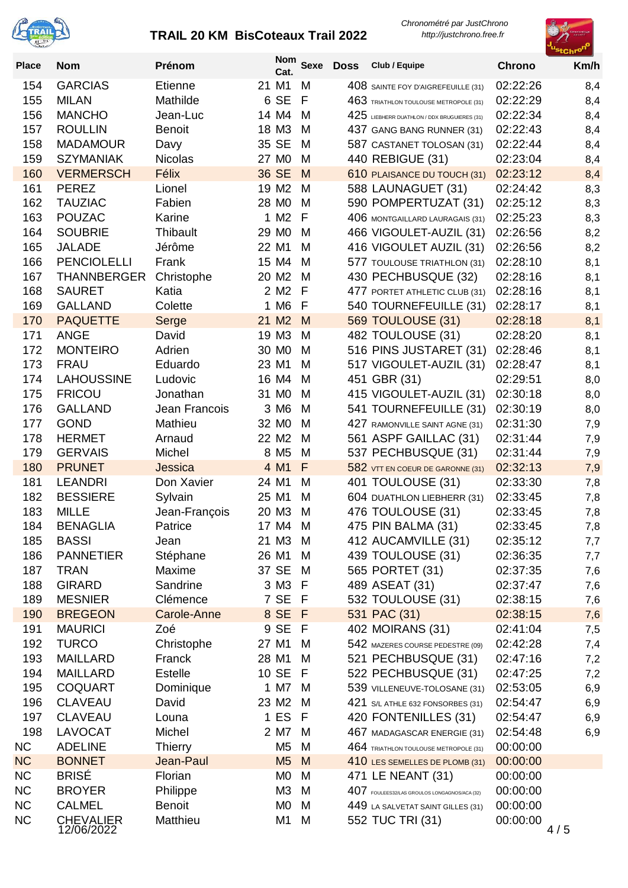



| <b>Place</b> | <b>Nom</b>                     | Prénom           | <b>Nom</b><br>Cat.                    | <b>Sexe</b> | <b>Doss</b> | Club / Equipe                                | <b>Chrono</b>        | Km/h       |
|--------------|--------------------------------|------------------|---------------------------------------|-------------|-------------|----------------------------------------------|----------------------|------------|
| 154          | <b>GARCIAS</b>                 | <b>Etienne</b>   | 21 M1                                 | M           |             | 408 SAINTE FOY D'AIGREFEUILLE (31)           | 02:22:26             | 8,4        |
| 155          | <b>MILAN</b>                   | Mathilde         | 6 SE                                  | F           |             | 463 TRIATHLON TOULOUSE METROPOLE (31)        | 02:22:29             | 8,4        |
| 156          | <b>MANCHO</b>                  | Jean-Luc         | 14 M4                                 | M           |             | 425 LIEBHERR DUATHLON / DDX BRUGUIERES (31)  | 02:22:34             | 8,4        |
| 157          | <b>ROULLIN</b>                 | <b>Benoit</b>    | 18 M3                                 | M           |             | 437 GANG BANG RUNNER (31)                    | 02:22:43             | 8,4        |
| 158          | <b>MADAMOUR</b>                | Davy             | 35 SE                                 | M           |             | 587 CASTANET TOLOSAN (31)                    | 02:22:44             | 8,4        |
| 159          | <b>SZYMANIAK</b>               | <b>Nicolas</b>   | 27 M <sub>0</sub>                     | M           |             | 440 REBIGUE (31)                             | 02:23:04             | 8,4        |
| 160          | <b>VERMERSCH</b>               | Félix            | 36 SE                                 | M           |             | 610 PLAISANCE DU TOUCH (31)                  | 02:23:12             | 8,4        |
| 161          | <b>PEREZ</b>                   | Lionel           | 19 M <sub>2</sub>                     | M           |             | 588 LAUNAGUET (31)                           | 02:24:42             | 8,3        |
| 162          | <b>TAUZIAC</b>                 | Fabien           | 28 MO                                 | M           |             | 590 POMPERTUZAT (31)                         | 02:25:12             | 8,3        |
| 163          | <b>POUZAC</b>                  | Karine           | 1 M2                                  | F           |             | 406 MONTGAILLARD LAURAGAIS (31)              | 02:25:23             | 8,3        |
| 164          | <b>SOUBRIE</b>                 | Thibault         | 29 M <sub>0</sub>                     | M           |             | 466 VIGOULET-AUZIL (31)                      | 02:26:56             | 8,2        |
| 165          | <b>JALADE</b>                  | Jérôme           | 22 M1                                 | M           |             | 416 VIGOULET AUZIL (31)                      | 02:26:56             | 8,2        |
| 166          | <b>PENCIOLELLI</b>             | Frank            | 15 M4                                 | M           |             | 577 TOULOUSE TRIATHLON (31)                  | 02:28:10             | 8,1        |
| 167          | <b>THANNBERGER</b>             | Christophe       | 20 M <sub>2</sub>                     | M           |             | 430 PECHBUSQUE (32)                          | 02:28:16             | 8,1        |
| 168          | <b>SAURET</b>                  | Katia            | 2 M <sub>2</sub>                      | F           |             | 477 PORTET ATHLETIC CLUB (31)                | 02:28:16             | 8,1        |
| 169          | <b>GALLAND</b>                 | Colette          | 1 M6                                  | F           |             | 540 TOURNEFEUILLE (31)                       | 02:28:17             | 8,1        |
| 170          | <b>PAQUETTE</b>                | Serge            | 21 M <sub>2</sub>                     | M           |             | <b>569 TOULOUSE (31)</b>                     | 02:28:18             | 8,1        |
| 171          | <b>ANGE</b>                    | David            | 19 M3                                 | M           |             | 482 TOULOUSE (31)                            | 02:28:20             | 8,1        |
| 172          | <b>MONTEIRO</b>                | Adrien           | 30 M <sub>0</sub>                     | M           |             | 516 PINS JUSTARET (31)                       | 02:28:46             | 8,1        |
| 173          | <b>FRAU</b>                    | Eduardo          | 23 M1                                 | M           |             | 517 VIGOULET-AUZIL (31)                      | 02:28:47             | 8,1        |
| 174          | <b>LAHOUSSINE</b>              | Ludovic          | 16 M4                                 | M           |             | 451 GBR (31)                                 | 02:29:51             | 8,0        |
| 175          | <b>FRICOU</b>                  | Jonathan         | 31 M <sub>0</sub>                     | M           |             | 415 VIGOULET-AUZIL (31)                      | 02:30:18             | 8,0        |
| 176          | <b>GALLAND</b>                 | Jean Francois    | 3 M <sub>6</sub>                      | M           |             | 541 TOURNEFEUILLE (31)                       | 02:30:19             | 8,0        |
| 177          | <b>GOND</b><br><b>HERMET</b>   | Mathieu          | 32 M <sub>0</sub>                     | M           |             | 427 RAMONVILLE SAINT AGNE (31)               | 02:31:30             | 7,9        |
| 178<br>179   | <b>GERVAIS</b>                 | Arnaud<br>Michel | 22 M <sub>2</sub><br>8 M <sub>5</sub> | M<br>M      |             | 561 ASPF GAILLAC (31)<br>537 PECHBUSQUE (31) | 02:31:44<br>02:31:44 | 7,9        |
| 180          | <b>PRUNET</b>                  | Jessica          | 4 M1                                  | F           |             | 582 VTT EN COEUR DE GARONNE (31)             | 02:32:13             | 7,9<br>7,9 |
| 181          | <b>LEANDRI</b>                 | Don Xavier       | 24 M1                                 | M           |             | 401 TOULOUSE (31)                            | 02:33:30             | 7,8        |
| 182          | <b>BESSIERE</b>                | Sylvain          | 25 M1                                 | M           |             | 604 DUATHLON LIEBHERR (31)                   | 02:33:45             | 7,8        |
| 183          | <b>MILLE</b>                   | Jean-François    | 20 M3                                 | M           |             | 476 TOULOUSE (31)                            | 02:33:45             | 7,8        |
| 184          | <b>BENAGLIA</b>                | Patrice          | 17 M4                                 | M           |             | 475 PIN BALMA (31)                           | 02:33:45             | 7,8        |
| 185          | <b>BASSI</b>                   | Jean             | 21 M3 M                               |             |             | 412 AUCAMVILLE (31)                          | 02:35:12             | 7,7        |
| 186          | <b>PANNETIER</b>               | Stéphane         | 26 M1                                 | M           |             | 439 TOULOUSE (31)                            | 02:36:35             | 7,7        |
| 187          | <b>TRAN</b>                    | Maxime           | 37 SE                                 | M           |             | 565 PORTET (31)                              | 02:37:35             | 7,6        |
| 188          | <b>GIRARD</b>                  | Sandrine         | 3 M3 F                                |             |             | 489 ASEAT (31)                               | 02:37:47             | 7,6        |
| 189          | <b>MESNIER</b>                 | Clémence         | 7 SE                                  | - F         |             | 532 TOULOUSE (31)                            | 02:38:15             | 7,6        |
| 190          | <b>BREGEON</b>                 | Carole-Anne      | 8 SE F                                |             |             | 531 PAC (31)                                 | 02:38:15             | 7,6        |
| 191          | <b>MAURICI</b>                 | Zoé              | 9 SE                                  | - F         |             | 402 MOIRANS (31)                             | 02:41:04             | 7,5        |
| 192          | <b>TURCO</b>                   | Christophe       | 27 M1                                 | M           |             | 542 MAZERES COURSE PEDESTRE (09)             | 02:42:28             | 7,4        |
| 193          | <b>MAILLARD</b>                | Franck           | 28 M1                                 | M           |             | 521 PECHBUSQUE (31)                          | 02:47:16             | 7,2        |
| 194          | <b>MAILLARD</b>                | Estelle          | 10 SE                                 | - F         |             | 522 PECHBUSQUE (31)                          | 02:47:25             | 7,2        |
| 195          | <b>COQUART</b>                 | Dominique        | 1 M7                                  | M           |             | 539 VILLENEUVE-TOLOSANE (31)                 | 02:53:05             | 6,9        |
| 196          | <b>CLAVEAU</b>                 | David            | 23 M <sub>2</sub>                     | M           |             | 421 S/L ATHLE 632 FONSORBES (31)             | 02:54:47             | 6,9        |
| 197          | <b>CLAVEAU</b>                 | Louna            | 1 ES                                  | - F         |             | 420 FONTENILLES (31)                         | 02:54:47             | 6,9        |
| 198          | <b>LAVOCAT</b>                 | Michel           | 2 M7                                  | M           |             | 467 MADAGASCAR ENERGIE (31)                  | 02:54:48             | 6,9        |
| <b>NC</b>    | <b>ADELINE</b>                 | <b>Thierry</b>   | M <sub>5</sub>                        | M           |             | 464 TRIATHLON TOULOUSE METROPOLE (31)        | 00:00:00             |            |
| <b>NC</b>    | <b>BONNET</b>                  | Jean-Paul        | M <sub>5</sub>                        | M           |             | 410 LES SEMELLES DE PLOMB (31)               | 00:00:00             |            |
| <b>NC</b>    | <b>BRISÉ</b>                   | Florian          | M <sub>0</sub>                        | M           |             | 471 LE NEANT (31)                            | 00:00:00             |            |
| <b>NC</b>    | <b>BROYER</b>                  | Philippe         | M <sub>3</sub>                        | M           |             | 407 FOULEES32/LAS GROULOS LONGAGNOS/ACA (32) | 00:00:00             |            |
| <b>NC</b>    | <b>CALMEL</b>                  | <b>Benoit</b>    | M <sub>0</sub>                        | M           |             | 449 LA SALVETAT SAINT GILLES (31)            | 00:00:00             |            |
| <b>NC</b>    | <b>CHEVALIER</b><br>12/06/2022 | Matthieu         | M <sub>1</sub>                        | M           |             | 552 TUC TRI (31)                             | 00:00:00             | 4/5        |